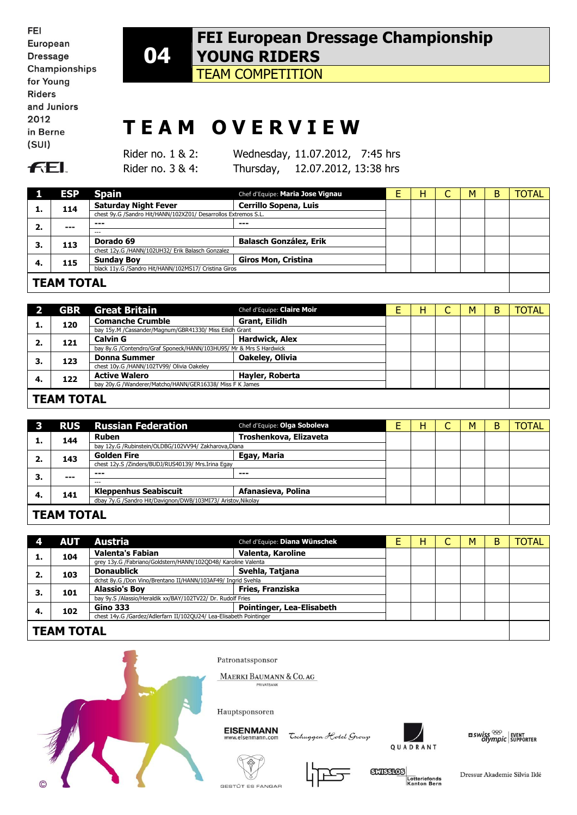FEI European **Dressage** Championships for Young **Riders** and Juniors 2012 in Berne  $(SUI)$ 



# **T E A M O V E R V I E W**

**FEL** 

Rider no. 1 & 2: Wednesday, 11.07.2012, 7:45 hrs Rider no. 3 & 4: Thursday, 12.07.2012, 13:38 hrs

|    | <b>ESP</b>        | <b>Spain</b>                                                   | Chef d'Equipe: Maria Jose Vignau | Н | М | B | <b>TOTAL</b> |
|----|-------------------|----------------------------------------------------------------|----------------------------------|---|---|---|--------------|
| ı. | 114               | <b>Saturday Night Fever</b>                                    | <b>Cerrillo Sopena, Luis</b>     |   |   |   |              |
|    |                   | chest 9y.G /Sandro Hit/HANN/102XZ01/ Desarrollos Extremos S.L. |                                  |   |   |   |              |
| 2. | $--$              | $- - -$                                                        | ---                              |   |   |   |              |
|    |                   | $- - -$                                                        |                                  |   |   |   |              |
| З. | 113               | Dorado 69                                                      | <b>Balasch González, Erik</b>    |   |   |   |              |
|    |                   | chest 12y.G /HANN/102UH32/ Erik Balasch Gonzalez               |                                  |   |   |   |              |
| 4. | 115               | <b>Sunday Boy</b>                                              | <b>Giros Mon, Cristina</b>       |   |   |   |              |
|    |                   | black 11y.G /Sandro Hit/HANN/102MS17/ Cristina Giros           |                                  |   |   |   |              |
|    |                   |                                                                |                                  |   |   |   |              |
|    | <b>TEAM TOTAL</b> |                                                                |                                  |   |   |   |              |

|    | <b>GBR</b>        | <b>Great Britain</b>                                               | Chef d'Equipe: Claire Moir |  | н |  | M | В | <b>TOTAL</b> |
|----|-------------------|--------------------------------------------------------------------|----------------------------|--|---|--|---|---|--------------|
| ı. | 120               | <b>Comanche Crumble</b>                                            | Grant, Eilidh              |  |   |  |   |   |              |
|    |                   | bay 15y.M /Cassander/Magnum/GBR41330/ Miss Eilidh Grant            |                            |  |   |  |   |   |              |
| 2. | 121               | <b>Calvin G</b>                                                    | <b>Hardwick, Alex</b>      |  |   |  |   |   |              |
|    |                   | bay 8y.G /Contendro/Graf Sponeck/HANN/103HU95/ Mr & Mrs S Hardwick |                            |  |   |  |   |   |              |
| 3. | 123               | <b>Donna Summer</b>                                                | Oakeley, Olivia            |  |   |  |   |   |              |
|    |                   | chest 10y.G /HANN/102TV99/ Olivia Oakeley                          |                            |  |   |  |   |   |              |
| 4. | 122               | <b>Active Walero</b>                                               | Hayler, Roberta            |  |   |  |   |   |              |
|    |                   | bay 20y.G /Wanderer/Matcho/HANN/GER16338/ Miss F K James           |                            |  |   |  |   |   |              |
|    | <b>TEAM TOTAL</b> |                                                                    |                            |  |   |  |   |   |              |
|    |                   |                                                                    |                            |  |   |  |   |   |              |

|    |            | <b>RUS</b> Russian Federation                                | Chef d'Equipe: Olga Soboleva | H | M | B | <b>TOTAL</b> |
|----|------------|--------------------------------------------------------------|------------------------------|---|---|---|--------------|
|    | 144        | <b>Ruben</b>                                                 | Troshenkova, Elizaveta       |   |   |   |              |
|    |            | bay 12y.G /Rubinstein/OLDBG/102VV94/ Zakharova,Diana         |                              |   |   |   |              |
|    | 143        | <b>Golden Fire</b>                                           | Egay, Maria                  |   |   |   |              |
|    |            | chest 12y.S /Zinders/BUDJ/RUS40139/ Mrs.Irina Egay           |                              |   |   |   |              |
| З. | $---$      | $- - -$                                                      | ---                          |   |   |   |              |
|    |            | ---                                                          |                              |   |   |   |              |
| 4. | 141        | <b>Kleppenhus Seabiscuit</b>                                 | Afanasieva, Polina           |   |   |   |              |
|    |            | dbay 7y.G /Sandro Hit/Davignon/DWB/103MI73/ Aristov, Nikolay |                              |   |   |   |              |
|    | TEAM TOTAL |                                                              |                              |   |   |   |              |

## **TEAM TOTAL**

|                   | <b>AUT</b> | Austria                                                            | Chef d'Equipe: Diana Wünschek |  | н |  | M | B | <b>TOTAL</b> |
|-------------------|------------|--------------------------------------------------------------------|-------------------------------|--|---|--|---|---|--------------|
| ı.                | 104        | <b>Valenta's Fabian</b>                                            | Valenta, Karoline             |  |   |  |   |   |              |
|                   |            | grey 13y.G /Fabriano/Goldstern/HANN/102QD48/ Karoline Valenta      |                               |  |   |  |   |   |              |
| 2.                | 103        | <b>Donaublick</b>                                                  | Svehla, Tatjana               |  |   |  |   |   |              |
|                   |            | dchst 8y.G /Don Vino/Brentano II/HANN/103AF49/ Ingrid Svehla       |                               |  |   |  |   |   |              |
| З.                | 101        | <b>Alassio's Boy</b>                                               | Fries, Franziska              |  |   |  |   |   |              |
|                   |            | bay 9y.S /Alassio/Heraldik xx/BAY/102TV22/ Dr. Rudolf Fries        |                               |  |   |  |   |   |              |
| -4.               | 102        | <b>Gino 333</b>                                                    | Pointinger, Lea-Elisabeth     |  |   |  |   |   |              |
|                   |            | chest 14y.G /Gardez/Adlerfarn II/102QU24/ Lea-Elisabeth Pointinger |                               |  |   |  |   |   |              |
| <b>TEAM TOTAL</b> |            |                                                                    |                               |  |   |  |   |   |              |
|                   |            |                                                                    |                               |  |   |  |   |   |              |



Patronatssponsor

MAERKI BAUMANN & CO. AG

Hauptsponsoren

**EISENMANN** ww.eisenmann.co

Tschuggen Hotel Group











Dressur Akademie Silvia Iklé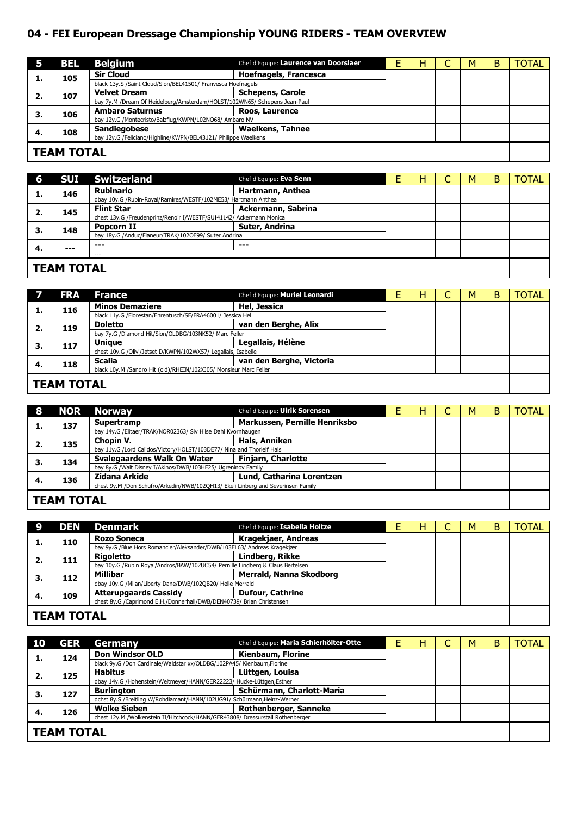### **04 - FEI European Dressage Championship YOUNG RIDERS - TEAM OVERVIEW**

|                   | <b>BEL</b> | <b>Belgium</b>                                                            | Chef d'Equipe: Laurence van Doorslaer |  | н | ◡ | M | В | TOTAL |
|-------------------|------------|---------------------------------------------------------------------------|---------------------------------------|--|---|---|---|---|-------|
|                   | 105        | <b>Sir Cloud</b>                                                          | <b>Hoefnagels, Francesca</b>          |  |   |   |   |   |       |
|                   |            | black 13y.S /Saint Cloud/Sion/BEL41501/ Franvesca Hoefnagels              |                                       |  |   |   |   |   |       |
|                   | 107        | <b>Velvet Dream</b>                                                       | <b>Schepens, Carole</b>               |  |   |   |   |   |       |
|                   |            | bay 7y.M /Dream Of Heidelberg/Amsterdam/HOLST/102WN65/ Schepens Jean-Paul |                                       |  |   |   |   |   |       |
| З.                | 106        | <b>Ambaro Saturnus</b>                                                    | Roos, Laurence                        |  |   |   |   |   |       |
|                   |            | bay 12y.G /Montecristo/Balzflug/KWPN/102NO68/ Ambaro NV                   |                                       |  |   |   |   |   |       |
| 4.                | 108        | <b>Sandiegobese</b>                                                       | <b>Waelkens, Tahnee</b>               |  |   |   |   |   |       |
|                   |            | bay 12y.G /Feliciano/Highline/KWPN/BEL43121/ Philippe Waelkens            |                                       |  |   |   |   |   |       |
|                   |            |                                                                           |                                       |  |   |   |   |   |       |
| <b>TEAM TOTAL</b> |            |                                                                           |                                       |  |   |   |   |   |       |

#### **TEAM TOTAL**

| 6   | <b>SUI</b>        | <b>Switzerland</b>                                                  | Chef d'Equipe: Eva Senn |  | н | M | В | <b>TOTAL</b> |
|-----|-------------------|---------------------------------------------------------------------|-------------------------|--|---|---|---|--------------|
| л.  | 146               | <b>Rubinario</b>                                                    | Hartmann, Anthea        |  |   |   |   |              |
|     |                   | dbay 10y.G /Rubin-Royal/Ramires/WESTF/102ME53/ Hartmann Anthea      |                         |  |   |   |   |              |
| 2.  | 145               | <b>Flint Star</b>                                                   | Ackermann, Sabrina      |  |   |   |   |              |
|     |                   | chest 13y.G /Freudenprinz/Renoir I/WESTF/SUI41142/ Ackermann Monica |                         |  |   |   |   |              |
| З.  | 148               | Popcorn II                                                          | Suter, Andrina          |  |   |   |   |              |
|     |                   | bay 18y.G /Anduc/Flaneur/TRAK/102OE99/ Suter Andrina                |                         |  |   |   |   |              |
| -4. | $--$              | $- - -$                                                             | $- - -$                 |  |   |   |   |              |
|     |                   | $---$                                                               |                         |  |   |   |   |              |
|     |                   |                                                                     |                         |  |   |   |   |              |
|     | <b>TEAM TOTAL</b> |                                                                     |                         |  |   |   |   |              |

#### **TEAM TOTAL**

|    | <b>FRA</b>        | <b>France</b>                                                     | Chef d'Equipe: Muriel Leonardi | н | M | в | <b>TOTAL</b> |
|----|-------------------|-------------------------------------------------------------------|--------------------------------|---|---|---|--------------|
|    | 116               | <b>Minos Demaziere</b>                                            | Hel, Jessica                   |   |   |   |              |
|    |                   | black 11y.G /Florestan/Ehrentusch/SF/FRA46001/ Jessica Hel        |                                |   |   |   |              |
| 2. | 119               | <b>Doletto</b>                                                    | van den Berghe, Alix           |   |   |   |              |
|    |                   | bay 7y.G /Diamond Hit/Sion/OLDBG/103NK52/ Marc Feller             |                                |   |   |   |              |
| З. | 117               | <b>Unique</b>                                                     | Legallais, Hélène              |   |   |   |              |
|    |                   | chest 10y.G /Olivi/Jetset D/KWPN/102WX57/ Legallais, Isabelle     |                                |   |   |   |              |
| 4. | 118               | <b>Scalia</b>                                                     | van den Berghe, Victoria       |   |   |   |              |
|    |                   | black 10y.M /Sandro Hit (old)/RHEIN/102XJ05/ Monsieur Marc Feller |                                |   |   |   |              |
|    |                   |                                                                   |                                |   |   |   |              |
|    | <b>TEAM TOTAL</b> |                                                                   |                                |   |   |   |              |

| 8                 |     | NOR Norway                                                                       | Chef d'Equipe: Ulrik Sorensen |  | н |  | M | в | TOTAL |
|-------------------|-----|----------------------------------------------------------------------------------|-------------------------------|--|---|--|---|---|-------|
|                   | 137 | Supertramp                                                                       | Markussen, Pernille Henriksbo |  |   |  |   |   |       |
|                   |     | bay 14y.G /Elitaer/TRAK/NOR02363/ Siv Hilse Dahl Kvornhaugen                     |                               |  |   |  |   |   |       |
| 2.                | 135 | Chopin V.                                                                        | <b>Hals, Anniken</b>          |  |   |  |   |   |       |
|                   |     | bay 11y.G /Lord Calidos/Victory/HOLST/103DE77/ Nina and Thorleif Hals            |                               |  |   |  |   |   |       |
| З.                | 134 | Svalegaardens Walk On Water                                                      | <b>Finjarn, Charlotte</b>     |  |   |  |   |   |       |
|                   |     | bay 8y.G /Walt Disney I/Akinos/DWB/103HF25/ Ugreninov Family                     |                               |  |   |  |   |   |       |
| 4.                | 136 | Zidana Arkide                                                                    | Lund, Catharina Lorentzen     |  |   |  |   |   |       |
|                   |     | chest 9y.M /Don Schufro/Arkedin/NWB/102QH13/ Ekeli Linberg and Severinsen Family |                               |  |   |  |   |   |       |
| <b>TEAM TOTAL</b> |     |                                                                                  |                               |  |   |  |   |   |       |
|                   |     |                                                                                  |                               |  |   |  |   |   |       |

#### **TEAM TOTAL**

|                   | DEN | <b>Denmark</b>                                                                 | Chef d'Equipe: Isabella Holtze |  | н |  | M | B | <b>TOTAL</b> |
|-------------------|-----|--------------------------------------------------------------------------------|--------------------------------|--|---|--|---|---|--------------|
|                   | 110 | <b>Rozo Soneca</b>                                                             | Kragekjaer, Andreas            |  |   |  |   |   |              |
|                   |     | bay 9y.G /Blue Hors Romancier/Aleksander/DWB/103EL63/ Andreas Kragekjær        |                                |  |   |  |   |   |              |
|                   | 111 | <b>Rigoletto</b>                                                               | Lindberg, Rikke                |  |   |  |   |   |              |
|                   |     | bay 10y.G /Rubin Royal/Andros/BAW/102UC54/ Pernille Lindberg & Claus Bertelsen |                                |  |   |  |   |   |              |
| З.                | 112 | Millibar                                                                       | Merrald, Nanna Skodborg        |  |   |  |   |   |              |
|                   |     | dbay 10y.G /Milan/Liberty Dane/DWB/102QB20/ Helle Merrald                      |                                |  |   |  |   |   |              |
| -4.               | 109 | <b>Atterupgaards Cassidy</b>                                                   | <b>Dufour, Cathrine</b>        |  |   |  |   |   |              |
|                   |     | chest 8y.G /Caprimond E.H./Donnerhall/DWB/DEN40739/ Brian Christensen          |                                |  |   |  |   |   |              |
|                   |     |                                                                                |                                |  |   |  |   |   |              |
| <b>TEAM TOTAL</b> |     |                                                                                |                                |  |   |  |   |   |              |

| <b>10</b>         | <b>GER</b> | Germany                                                                        | Chef d'Equipe: Maria Schierhölter-Otte |  | н | M | В | <b>TOTAL</b> |
|-------------------|------------|--------------------------------------------------------------------------------|----------------------------------------|--|---|---|---|--------------|
|                   | 124        | <b>Don Windsor OLD</b>                                                         | Kienbaum, Florine                      |  |   |   |   |              |
|                   |            | black 9y.G /Don Cardinale/Waldstar xx/OLDBG/102PA45/ Kienbaum, Florine         |                                        |  |   |   |   |              |
| 2.                | 125        | <b>Habitus</b>                                                                 | Lüttgen, Louisa                        |  |   |   |   |              |
|                   |            | dbay 14y.G /Hohenstein/Weltmeyer/HANN/GER22223/ Hucke-Lüttgen, Esther          |                                        |  |   |   |   |              |
| З.                | 127        | <b>Burlington</b>                                                              | Schürmann, Charlott-Maria              |  |   |   |   |              |
|                   |            | dchst 8y.S /Breitling W/Rohdiamant/HANN/102UG91/ Schürmann, Heinz-Werner       |                                        |  |   |   |   |              |
| -4.               | 126        | <b>Wolke Sieben</b>                                                            | <b>Rothenberger, Sanneke</b>           |  |   |   |   |              |
|                   |            | chest 12y.M /Wolkenstein II/Hitchcock/HANN/GER43808/ Dressurstall Rothenberger |                                        |  |   |   |   |              |
|                   |            |                                                                                |                                        |  |   |   |   |              |
| <b>TEAM TOTAL</b> |            |                                                                                |                                        |  |   |   |   |              |